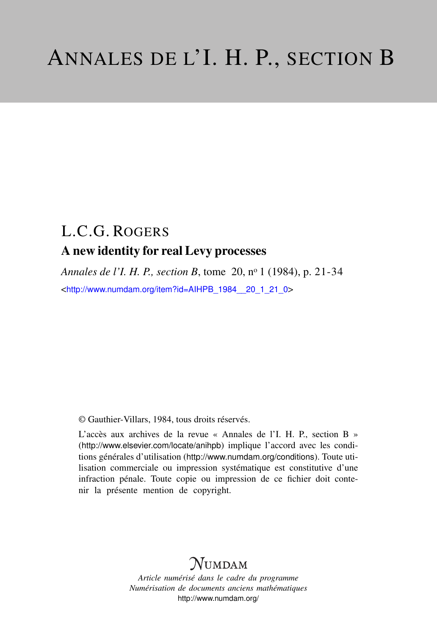# L.C.G. ROGERS A new identity for real Levy processes

*Annales de l'I. H. P., section B*, tome 20, n<sup>o</sup> 1 (1984), p. 21-34 <[http://www.numdam.org/item?id=AIHPB\\_1984\\_\\_20\\_1\\_21\\_0](http://www.numdam.org/item?id=AIHPB_1984__20_1_21_0)>

© Gauthier-Villars, 1984, tous droits réservés.

L'accès aux archives de la revue « Annales de l'I. H. P., section B » (<http://www.elsevier.com/locate/anihpb>) implique l'accord avec les conditions générales d'utilisation (<http://www.numdam.org/conditions>). Toute utilisation commerciale ou impression systématique est constitutive d'une infraction pénale. Toute copie ou impression de ce fichier doit contenir la présente mention de copyright.

# **NUMDAM**

*Article numérisé dans le cadre du programme Numérisation de documents anciens mathématiques* <http://www.numdam.org/>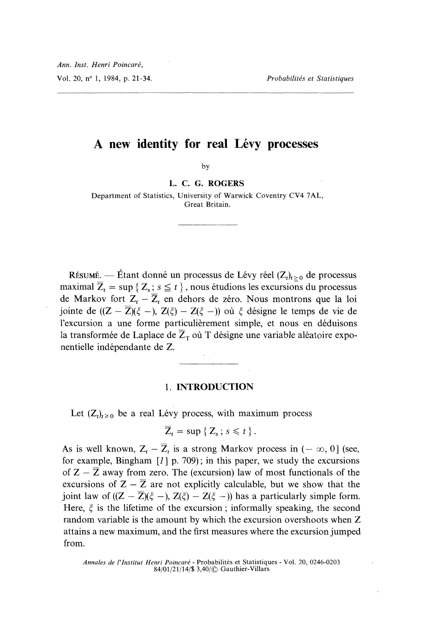## A new identity for real Lévy processes

by

### L. C. G. ROGERS

Department of Statistics, University of Warwick Coventry CV4 7AL, Great Britain.

RÉSUMÉ. — Étant donné un processus de Lévy réel  $(Z_t)_{t\geq0}$  de processus maximal  $\overline{Z}_t = \sup \{ Z_s : s \leq t \}$ , nous étudions les excursions du processus de Markov fort  $Z_t - \overline{Z}_t$  en dehors de zéro. Nous montrons que la loi jointe de  $((Z - \overline{Z})(\xi -), Z(\xi) - Z(\xi -))$  où  $\xi$  désigne le temps de vie de l'excursion a une forme particulièrement simple, et nous en déduisons la transformée de Laplace de  $\overline{Z}_T$  où T désigne une variable aléatoire exponentielle indépendante de Z.

# 1. INTRODUCTION

Let  $(Z_t)_{t\geq 0}$  be a real Lévy process, with maximum process

$$
\overline{Z}_t = \sup \{ Z_s \, ; \, s \leq t \} \, .
$$

As is well known,  $Z_t - \overline{Z}_t$  is a strong Markov process in  $(-\infty, 0]$  (see, for example, Bingham  $\lfloor l \rfloor$  p. 709); in this paper, we study the excursions of  $Z - \overline{Z}$  away from zero. The (excursion) law of most functionals of the excursions of  $Z - \overline{Z}$  are not explicitly calculable, but we show that the joint law of  $((Z - \overline{Z})(\xi -), Z(\xi) - Z(\xi -))$  has a particularly simple form. Here,  $\xi$  is the lifetime of the excursion; informally speaking, the second random variable is the amount by which the excursion overshoots when Z attains a new maximum, and the first measures where the excursion jumped from.

Annales de l'Institut Henri Poincaré - Probabilités et Statistiques - Vol. 20, 0246-0203 84/01/21/14/\$ 3,40/© Gauthier-Villars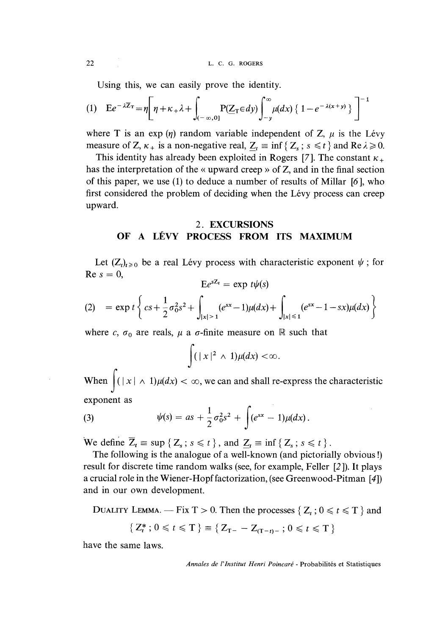22 L. C. G. ROGERS

Using this, we can easily prove the identity.

$$
(1) \quad E e^{-\lambda \overline{Z}_{T}} = \eta \left[ \eta + \kappa_{+} \lambda + \int_{(-\infty,0]} P(Z_{T} \in dy) \int_{-y}^{\infty} \mu(dx) \left\{ 1 - e^{-\lambda(x+y)} \right\} \right]^{-1}
$$

where T is an exp  $(\eta)$  random variable independent of Z,  $\mu$  is the Lévy measure of Z,  $\kappa_+$  is a non-negative real,  $Z_t \equiv \inf \{ Z_s : s \le t \}$  and Re  $\lambda \ge 0$ .

This identity has already been exploited in Rogers [7]. The constant  $\kappa_{+}$ has the interpretation of the « upward creep » of Z, and in the final section of this paper, we use (1) to deduce a number of results of Millar [6 ], who first considered the problem of deciding when the Lévy process can creep upward.

## 2. EXCURSIONS OF A LEVY PROCESS FROM ITS MAXIMUM

Let  $(Z_t)_{t\geq 0}$  be a real Lévy process with characteristic exponent  $\psi$ ; for  $Re s = 0$ ,  $Ee^{sZ_t} = \exp t h/s$ 

$$
(2) = \exp t \left\{ cs + \frac{1}{2} \sigma_0^2 s^2 + \int_{|x| \ge 1} (e^{sx} - 1) \mu(dx) + \int_{|x| \le 1} (e^{sx} - 1 - sx) \mu(dx) \right\}
$$

where c,  $\sigma_0$  are reals,  $\mu$  a  $\sigma$ -finite measure on  $\mathbb R$  such that

$$
\int (|x|^2 \wedge 1) \mu(dx) < \infty.
$$

When  $\int ( |x| \wedge 1) \mu(dx) < \infty$ , we can and shall re-express the characteristic exponent as

(3) 
$$
\psi(s) = as + \frac{1}{2}\sigma_0^2 s^2 + \int (e^{sx} - 1)\mu(dx).
$$

We define  $\overline{Z}_t \equiv \sup \{ Z_s : s \leq t \}$ , and  $Z_t \equiv \inf \{ Z_s : s \leq t \}$ .

The following is the analogue of a well-known (and pictorially obvious !) result for discrete time random walks (see, for example, Feller [2 ]). It plays a crucial role in the Wiener-Hopf factorization, (see Greenwood-Pitman [4]) and in our own development.

DUALITY LEMMA. — Fix T > 0. Then the processes { $Z_t$ ;  $0 \le t \le T$ } and

$$
\{Z_t^* : 0 \leq t \leq T\} \equiv \{Z_{T-} - Z_{(T-t)-} : 0 \leq t \leq T\}
$$

have the same laws.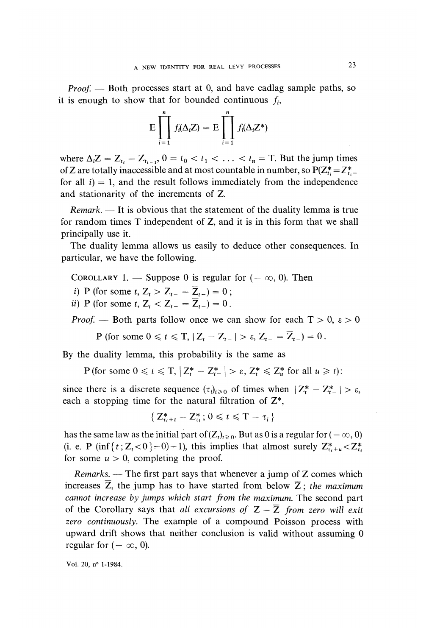*Proof.*  $\rightarrow$  Both processes start at 0, and have cadlag sample paths, so it is enough to show that for bounded continuous  $f_i$ ,

$$
E\prod_{i=1}^n f_i(\Delta_i Z) = E\prod_{i=1}^n f_i(\Delta_i Z^*)
$$

where  $\Delta_i Z = Z_{t_i} - Z_{t_{i-1}}$ ,  $0 = t_0 < t_1 < \ldots < t_n = T$ . But the jump times of Z are totally inaccessible and at most countable in number, so  $P(Z_{t_i}^* = Z_{t_i}^* - Z_{t_i}^*)$ for all  $i$ ) = 1, and the result follows immediately from the independence and stationarity of the increments of Z.

*Remark.*  $\equiv$  It is obvious that the statement of the duality lemma is true for random times T independent of Z, and it is in this form that we shall principally use it.

The duality lemma allows us easily to deduce other consequences. In particular, we have the following.

COROLLARY 1. — Suppose 0 is regular for  $(-\infty, 0)$ . Then

i) P (for some  $t, Z_t > Z_{t-} = \overline{Z}_{t-} = 0$ ;

ii) P (for some  $t, Z_t < Z_{t-} = \overline{Z}_{t-} = 0$ .

*Proof.* — Both parts follow once we can show for each  $T > 0$ ,  $\varepsilon > 0$ 

P (for some  $0 \le t \le T$ ,  $|Z_t - Z_{t-}| > \varepsilon$ ,  $Z_{t-} = \overline{Z}_{t-} = 0$ .

By the duality lemma, this probability is the same as

P (for some  $0 \leq t \leq T$ ,  $|Z_t^* - Z_{t-}^*| > \varepsilon$ ,  $Z_t^* \leq Z_u^*$  for all  $u \geq t$ ):

since there is a discrete sequence  $(\tau_i)_{i \geq 0}$  of times when  $|Z_t^* - Z_{t-}^*| > \varepsilon$ , each a stopping time for the natural filtration of  $Z^*$ ,

$$
\{Z^*_{\tau_i+t}-Z^*_{\tau_i};\,0\leqslant t\leqslant T-\tau_i\}
$$

has the same law as the initial part of  $(Z_t)_{t\geq 0}$ . But as 0 is a regular for  $(-\infty, 0)$ (i. e. P (inf {t; Z<sub>t</sub> < 0} = 0) = 1), this implies that almost surely  $Z_{x_i+u}^* < Z_{x_i}^*$ for some  $u > 0$ , completing the proof.

Remarks.  $-$  The first part says that whenever a jump of  $Z$  comes which increases  $\overline{Z}$ , the jump has to have started from below  $\overline{Z}$ ; the maximum cannot increase by jumps which start from the maximum. The second part of the Corollary says that all excursions of  $Z - \overline{Z}$  from zero will exit zero continuously. The example of a compound Poisson process with upward drift shows that neither conclusion is valid without assuming 0 regular for  $(-\infty, 0)$ .

Vol. 20, n° 1-1984.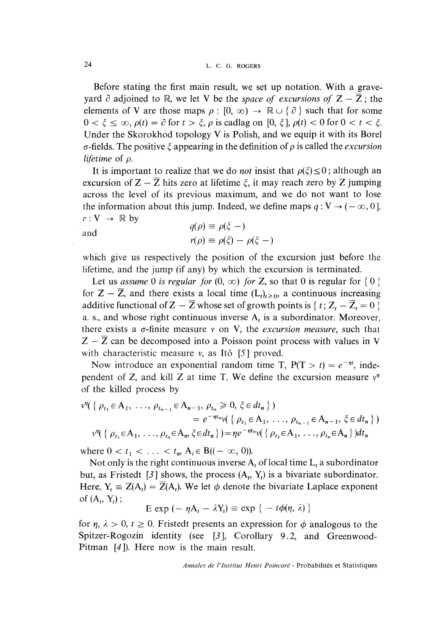Before stating the first main result, we set up notation. With a graveyard  $\partial$  adjoined to R, we let V be the space of excursions of  $Z - \overline{Z}$ ; the elements of V are those maps  $\rho : [0, \infty) \to \mathbb{R} \cup \{\partial\}$  such that for some  $0 < \xi \leq \infty$ ,  $\rho(t) = \partial$  for  $t > \xi$ ,  $\rho$  is cadlag on [0,  $\xi$ ],  $\rho(t) < 0$  for  $0 < t < \xi$ . Under the Skorokhod topology V is Polish, and we equip it with its Borel  $\sigma$ -fields. The positive  $\xi$  appearing in the definition of  $\rho$  is called the *excursion* lifetime of  $\rho$ .

It is important to realize that we do *not* insist that  $\rho(\xi) \leq 0$ ; although an excursion of  $Z - \overline{Z}$  hits zero at lifetime  $\xi$ , it may reach zero by Z jumping across the level of its previous maximum, and we do not want to lose the information about this jump. Indeed, we define maps  $q: V \to (-\infty, 0]$ .  $r: V \rightarrow \mathbb{R}$  by

and 
$$
q(\rho) \equiv \rho(\xi -)
$$

$$
r(\rho) \equiv \rho(\xi) - \rho(\xi -)
$$

which give us respectively the position of the excursion just before the lifetime, and the jump (if any) by which the excursion is terminated.

Let us assume 0 is regular for  $(0, \infty)$  for Z, so that 0 is regular for  $\{0\}$ for  $Z - \overline{Z}$ , and there exists a local time  $(L<sub>t</sub>)<sub>t</sub> \ge 0$ , a continuous increasing additive functional of  $Z - \overline{Z}$  whose set of growth points is  $\{t; Z_t - \overline{Z}_t = 0\}$ a. s., and whose right continuous inverse  $A_t$  is a subordinator. Moreover, there exists a  $\sigma$ -finite measure v on V, the *excursion measure*, such that  $Z - \overline{Z}$  can be decomposed into a Poisson point process with values in V with characteristic measure  $v$ , as Itô [5] proved.

Now introduce an exponential random time T,  $P(T > t) = e^{-nt}$ , independent of Z, and kill Z at time T. We define the excursion measure  $v<sup>n</sup>$ of the killed process by

$$
v^{\eta}(\{\rho_{t_1} \in A_1, \ldots, \rho_{t_{n-1}} \in A_{n-1}, \rho_{t_n} \ge 0, \xi \in dt_n \})
$$
  
=  $e^{-\eta t_n} v(\{\rho_{t_1} \in A_1, \ldots, \rho_{t_{n-1}} \in A_{n-1}, \xi \in dt_n \})$   

$$
v^{\eta}(\{\rho_{t_1} \in A_1, \ldots, \rho_{t_n} \in A_n, \xi \in dt_n \}) = \eta e^{-\eta t_n} v(\{\rho_{t_1} \in A_1, \ldots, \rho_{t_n} \in A_n \}) dt_n
$$

where  $0 < t_1 < \ldots < t_m$ ,  $A_i \in B((-\infty, 0))$ .

Not only is the right continuous inverse  $A_t$  of local time  $L_t$  a subordinator but, as Fristedt [3] shows, the process  $(A_t, Y_t)$  is a bivariate subordinator. Here,  $Y_t = Z(A_t) = Z(A_t)$ . We let  $\phi$  denote the bivariate Laplace exponent of  $(A_t, Y_t)$ ;

$$
E \exp(-\eta A_t - \lambda Y_t) \equiv \exp \{-t\phi(\eta, \lambda)\}
$$

for  $\eta$ ,  $\lambda > 0$ ,  $t \ge 0$ . Fristedt presents an expression for  $\phi$  analogous to the Spitzer-Rogozin identity (see [3], Corollary 9.2, and Greenwood-Pitman [4]). Here now is the main result.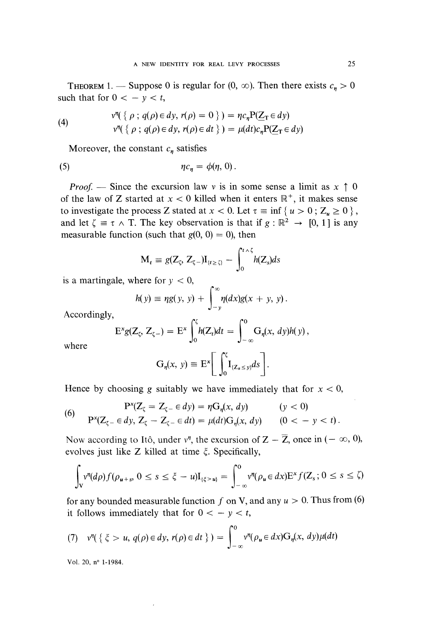**THEOREM** 1. - Suppose 0 is regular for  $(0, \infty)$ . Then there exists  $c_n > 0$ such that for  $0 < -y < t$ ,

(4) 
$$
v^{\eta}(\{\rho \,;\, q(\rho) \in dy, r(\rho) = 0\}) = \eta c_{\eta} P(\underline{Z}_{T} \in dy)
$$

$$
v^{\eta}(\{\rho \,;\, q(\rho) \in dy, r(\rho) \in dt\}) = \mu(dt)c_{\eta} P(\underline{Z}_{T} \in dy)
$$

Moreover, the constant  $c_n$  satisfies

$$
\eta c_{\eta} = \phi(\eta, 0).
$$

*Proof.* — Since the excursion law v is in some sense a limit as  $x \uparrow 0$ of the law of Z started at  $x < 0$  killed when it enters  $\mathbb{R}^+$ , it makes sense to investigate the process Z stated at  $x < 0$ . Let  $\tau \equiv \inf \{ u > 0 ; Z_u \ge 0 \}$ , and let  $\zeta \equiv \tau \wedge T$ . The key observation is that if  $g : \mathbb{R}^2 \to [0, 1]$  is any measurable function (such that  $g(0, 0) = 0$ ), then

$$
M_t \equiv g(Z_\zeta, Z_{\zeta-})I_{\{t \ge \zeta\}} - \int_0^{t \wedge \zeta} h(Z_s)ds
$$

is a martingale, where for  $y < 0$ ,

$$
h(y) \equiv \eta g(y, y) + \int_{-y}^{\infty} \eta(dx)g(x + y, y).
$$

Accordingly,

$$
\mathbf{E}^{x}g(Z_{\zeta}, Z_{\zeta-}) = \mathbf{E}^{x} \int_{0}^{\zeta} h(Z_{t})dt = \int_{-\infty}^{0} G_{\eta}(x, dy)h(y),
$$

where

$$
G_{\eta}(x, y) \equiv E^{x} \left[ \int_{0}^{\zeta} I_{\{Z_{s} \leq y\}} ds \right].
$$

Hence by choosing g suitably we have immediately that for  $x < 0$ ,

(6) 
$$
P^{x}(Z_{\zeta} = Z_{\zeta} - \epsilon dy) = \eta G_{\eta}(x, dy) \qquad (y < 0)
$$

$$
P^{x}(Z_{\zeta} - \epsilon dy, Z_{\zeta} - Z_{\zeta} - \epsilon dt) = \mu(dt)G_{\eta}(x, dy) \qquad (0 < -y < t)
$$

Now according to Itô, under  $v^n$ , the excursion of  $Z - \overline{Z}$ , once in  $(-\infty, 0)$ , evolves just like Z killed at time  $\xi$ . Specifically,

$$
\int_{V} v^{\eta}(d\rho) f(\rho_{u+s}, 0 \le s \le \xi - u) I_{\{\xi > u\}} = \int_{-\infty}^{0} v^{\eta}(\rho_{u} \in dx) E^{x} f(Z_{s}; 0 \le s \le \zeta)
$$

for any bounded measurable function f on V, and any  $u > 0$ . Thus from (6) it follows immediately that for  $0 < -y < t$ ,

(7) 
$$
v^{\eta}(\lbrace \xi > u, q(\rho) \in dy, r(\rho) \in dt \rbrace) = \int_{-\infty}^{0} v^{\eta}(\rho_u \in dx) G_{\eta}(x, dy) \mu(dt)
$$

Vol. 20, n° 1-1984.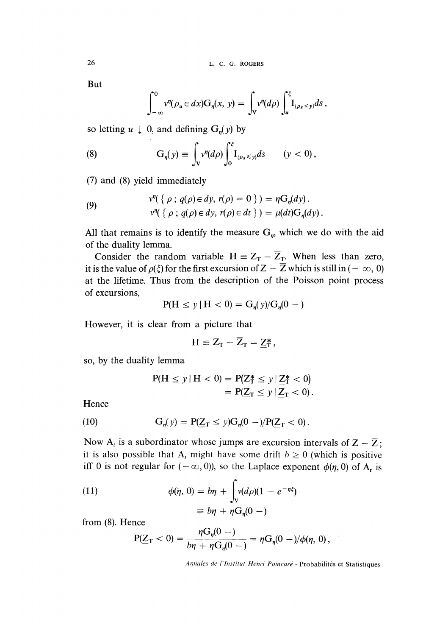But

$$
\int_{-\infty}^{0} v^{\eta}(\rho_u \in dx) \mathbf{G}_{\eta}(x, y) = \int_{V} v^{\eta}(d\rho) \int_{u}^{\xi} \mathbf{I}_{\{\rho_s \leq y\}} ds,
$$

so letting  $u \downarrow 0$ , and defining  $G_n(y)$  by

(8) 
$$
G_{\eta}(y) \equiv \int_{V} v^{\eta}(d\rho) \int_{0}^{\xi} I_{\{\rho_{s} \leq y\}} ds \qquad (y < 0),
$$

(7) and (8) yield immediately

(9) 
$$
v''(\{\rho \,;\, q(\rho) \in dy, r(\rho) = 0\}) = \eta G_{\eta}(dy).
$$

$$
v''(\{\rho \,;\, q(\rho) \in dy, r(\rho) \in dt\}) = \mu(dt)G_{\eta}(dy).
$$

All that remains is to identify the measure  $G<sub>m</sub>$ , which we do with the aid of the duality lemma.

Consider the random variable  $H = Z_T - \overline{Z}_T$ . When less than zero, it is the value of  $\rho(\xi)$  for the first excursion of  $Z - \overline{Z}$  which is still in ( $-\infty$ , 0) at the lifetime. Thus from the description of the Poisson point process of excursions,

$$
P(H \le y | H < 0) = G_n(y) / G_n(0 - )
$$

However, it is clear from a picture that

$$
H \equiv Z_T - \overline{Z}_T = \underline{Z}_T^*,
$$

so, by the duality lemma

$$
P(H \le y | H < 0) = P(Z_T^* \le y | Z_T^* < 0) \\
= P(Z_T \le y | Z_T < 0).
$$

**Hence** 

(10) 
$$
G_{\eta}(y) = P(\underline{Z}_{T} \le y)G_{\eta}(0 -)/P(\underline{Z}_{T} < 0).
$$

Now A<sub>t</sub> is a subordinator whose jumps are excursion intervals of  $Z - \overline{Z}$ ; it is also possible that A<sub>t</sub> might have some drift  $h \ge 0$  (which is positive iff 0 is not regular for  $(-\infty,0)$ , so the Laplace exponent  $\phi(\eta,0)$  of  $A_t$  is

(11) 
$$
\phi(\eta, 0) = b\eta + \int_{V} v(d\rho)(1 - e^{-\eta\xi})
$$

$$
\equiv b\eta + \eta G_{\eta}(0 -)
$$

from (8). Hence

$$
P(ZT < 0) = \frac{\eta G_n(0 -)}{b\eta + \eta G_n(0 -)} = \eta G_n(0 -)/\phi(\eta, 0),
$$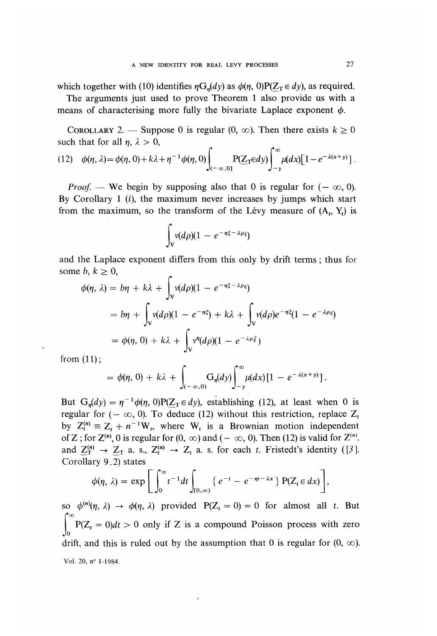which together with (10) identifies  $\eta G_n(dy)$  as  $\phi(\eta, 0)P(Z_T \in dy)$ , as required.

The arguments just used to prove Theorem 1 also provide us with a means of characterising more fully the bivariate Laplace exponent  $\phi$ .

COROLLARY 2. — Suppose 0 is regular  $(0, \infty)$ . Then there exists  $k \ge 0$ such that for all  $\eta$ ,  $\lambda > 0$ ,

(12) 
$$
\phi(\eta, \lambda) = \phi(\eta, 0) + k\lambda + \eta^{-1} \phi(\eta, 0) \int_{(-\infty, 0]} P(\underline{Z}_T \in dy) \int_{-y}^{\infty} \mu(dx) [1 - e^{-\lambda(x+y)}].
$$

*Proof.* — We begin by supposing also that 0 is regular for  $(-\infty, 0)$ . By Corollary 1  $(i)$ , the maximum never increases by jumps which start from the maximum, so the transform of the Lévy measure of  $(A_t, Y_t)$  is

$$
\int_{V} v(d\rho)(1-e^{-\eta\xi-\lambda\rho\xi})
$$

and the Laplace exponent differs from this only by drift terms ; thus for some  $b, k \geq 0$ ,

$$
\phi(\eta, \lambda) = b\eta + k\lambda + \int_{V} v(d\rho)(1 - e^{-\eta\xi - \lambda\rho\xi})
$$
  
=  $b\eta + \int_{V} v(d\rho)(1 - e^{-\eta\xi}) + k\lambda + \int_{V} v(d\rho)e^{-\eta\xi}(1 - e^{-\lambda\rho\xi})$   
=  $\phi(\eta, 0) + k\lambda + \int_{V} v^{\eta}(d\rho)(1 - e^{-\lambda\rho\xi})$ 

from  $(11)$ ;

$$
= \phi(\eta, 0) + k\lambda + \int_{(-\infty,0)} G_{\eta}(dy) \int_{-y}^{\infty} \mu(dx) \left[1 - e^{-\lambda(x+y)}\right].
$$

But  $G_n(dy) = \eta^{-1} \phi(\eta, 0) P(Z_T \in dy)$ , establishing (12), at least when 0 is regular for ( $-\infty$ , 0). To deduce (12) without this restriction, replace  $Z_t$ by  $Z_t^{(n)} \equiv Z_t + n^{-1}W_t$ , where  $W_t$  is a Brownian motion independent of Z; for  $Z^{(n)}$ , 0 is regular for  $(0, \infty)$  and  $(-\infty, 0)$ . Then (12) is valid for  $Z^{(n)}$ . and  $\underline{Z}_{T}^{(n)} \rightarrow \underline{Z}_{T}$  a. s.,  $\overline{Z}_{t}^{(n)} \rightarrow \overline{Z}_{t}$  a. s. for each t. Fristedt's identity ([3], Corollary 9.2) states

$$
\phi(\eta, \lambda) = \exp \Bigg[ \int_0^\infty t^{-1} dt \int_{[0,\infty)} \left\{ e^{-t} - e^{-\eta t - \lambda x} \right\} P(Z_t \in dx) \Bigg],
$$

so  $\phi^{(n)}(\eta, \lambda) \rightarrow \phi(\eta, \lambda)$  provided  $P(Z_t = 0) = 0$  for almost all t. But  $\int_0^\infty P(Z_t = 0) dt > 0$  only if Z is a compound Poisson process with zero drift, and this is ruled out by the assumption that 0 is regular for  $(0, \infty)$ . Vol. 20, n° 1-1984.

ł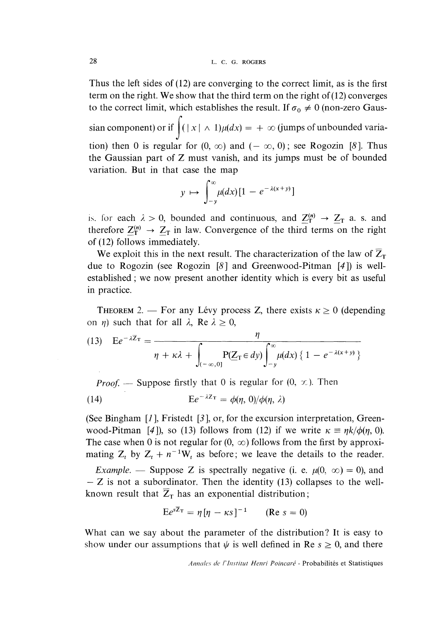Thus the left sides of (12) are converging to the correct limit, as is the first term on the right. We show that the third term on the right of  $(12)$  converges to the correct limit, which establishes the result. If  $\sigma_0 \neq 0$  (non-zero Gaus-

sian component) or if  $\int ( |x| \wedge 1) \mu(dx) = + \infty$  (jumps of unbounded variation) then 0 is regular for  $(0, \infty)$  and  $(-\infty, 0)$ ; see Rogozin [8]. Thus the Gaussian part of Z must vanish, and its jumps must be of bounded variation. But in that case the map

$$
y \mapsto \int_{-y}^{\infty} \mu(dx) [1 - e^{-\lambda(x+y)}]
$$

is. for each  $\lambda > 0$ , bounded and continuous, and  $Z_T^{(n)} \rightarrow Z_T$  a. s. and therefore  $Z_T^{(n)} \rightarrow Z_T$  in law. Convergence of the third terms on the right of (12) follows immediately.

We exploit this in the next result. The characterization of the law of  $\overline{Z}_{T}$ due to Rogozin (see Rogozin [8] and Greenwood-Pitman [4]) is wellestablished ; we now present another identity which is every bit as useful in practice.

**THEOREM** 2. - For any Lévy process Z, there exists  $\kappa \ge 0$  (depending on  $\eta$ ) such that for all  $\lambda$ , Re  $\lambda \ge 0$ ,

(13) 
$$
E e^{-\lambda \overline{Z}_{T}} = \frac{\eta}{\eta + \kappa \lambda + \int_{(-\infty,0]} P(\underline{Z}_{T} \in dy) \int_{-y}^{\infty} \mu(dx) \{ 1 - e^{-\lambda(x+y)} \}}
$$

*Proof.* - Suppose firstly that 0 is regular for  $(0, \infty)$ . Then

(14) 
$$
E e^{-\lambda Z_T} = \phi(\eta, 0) / \phi(\eta, \lambda)
$$

(See Bingham  $[1]$ , Fristedt  $[3]$ , or, for the excursion interpretation, Greenwood-Pitman [4]), so (13) follows from (12) if we write  $\kappa = \frac{\eta k}{\phi(\eta, 0)}$ . The case when 0 is not regular for  $(0, \infty)$  follows from the first by approximating  $Z_t$  by  $Z_t + n^{-1}W_t$  as before; we leave the details to the reader.

*Example.* — Suppose Z is spectrally negative (i. e.  $\mu(0, \infty) = 0$ ), and  $- Z$  is not a subordinator. Then the identity (13) collapses to the wellknown result that  $\overline{Z}_T$  has an exponential distribution;

$$
Ee^{sZ_T} = \eta [\eta - \kappa s]^{-1} \qquad (\text{Re } s = 0)
$$

What can we say about the parameter of the distribution? It is easy to show under our assumptions that  $\psi$  is well defined in Re  $s \ge 0$ , and there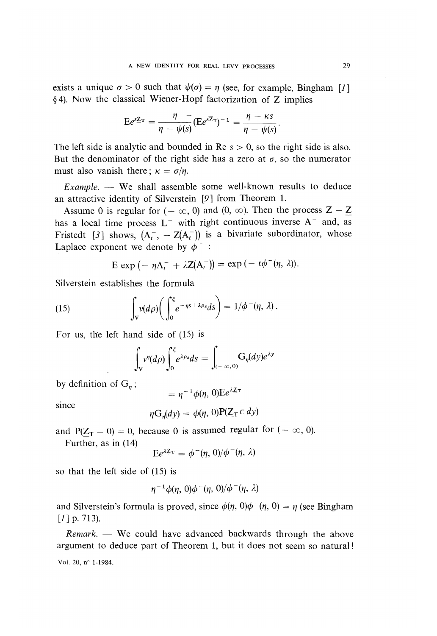exists a unique  $\sigma > 0$  such that  $\psi(\sigma) = \eta$  (see, for example, Bingham [1] § 4). Now the classical Wiener-Hopf factorization of Z implies

$$
Ee^{sZ\tau} = \frac{\eta - \eta}{\eta - \psi(s)} (Ee^{sZ\tau})^{-1} = \frac{\eta - \kappa s}{\eta - \psi(s)}.
$$

The left side is analytic and bounded in Re  $s > 0$ , so the right side is also. But the denominator of the right side has a zero at  $\sigma$ , so the numerator must also vanish there;  $\kappa = \sigma/n$ .

 $Example.$  - We shall assemble some well-known results to deduce an attractive identity of Silverstein  $[9]$  from Theorem 1.

Assume 0 is regular for  $(-\infty, 0)$  and  $(0, \infty)$ . Then the process  $Z - Z$ has a local time process  $L^-$  with right continuous inverse  $A^-$  and, as Fristedt [3] shows,  $(A_t^-, -Z(A_t^-))$  is a bivariate subordinator, whose Laplace exponent we denote by  $\phi^-$ :

$$
E \exp(-\eta A_t^- + \lambda Z(A_t^-)) = \exp(-t\phi^-(\eta, \lambda)).
$$

Silverstein establishes the formula

(15) 
$$
\int_{V} v(d\rho) \bigg( \int_{0}^{\xi} e^{-\eta s + \lambda \rho s} ds \bigg) = 1/\phi^-(\eta, \lambda).
$$

For us, the left hand side of (15) is

$$
\int_{V} v^{\eta}(d\rho) \int_{0}^{\xi} e^{\lambda \rho s} ds = \int_{(-\infty,0)} G_{\eta}(dy) e^{\lambda y}
$$

by definition of  $G_n$ ;

 $=\eta^{-1}\phi(\eta, 0)Ee^{\lambda Z}$ 

since

$$
\eta G_n(dy) = \phi(\eta, 0) P(Z_T \in dy)
$$

and  $P(Z_T = 0) = 0$ , because 0 is assumed regular for  $(-\infty, 0)$ .

Further, as in (14)

$$
E e^{\lambda \underline{Z} \tau} = \phi^-(\eta, 0) / \phi^-(\eta, \lambda)
$$

so that the left side of (15) is

$$
\eta^{-1}\phi(\eta,\,0)\phi^-(\eta,\,0)/\phi^-(\eta,\,\lambda)
$$

and Silverstein's formula is proved, since  $\phi(\eta, 0)\phi^-(\eta, 0) = \eta$  (see Bingham  $[1]$  p. 713).

 $Remark.$  We could have advanced backwards through the above argument to deduce part of Theorem 1, but it does not seem so natural !

Vol. 20, 
$$
n^{\circ}
$$
 1-1984.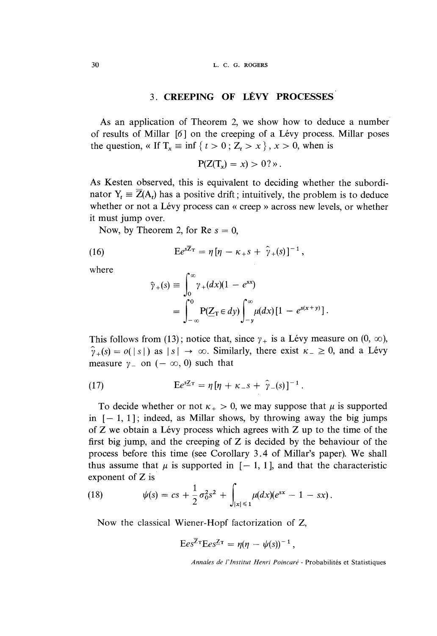## 3. CREEPING OF LÉVY PROCESSES

As an application of Theorem 2, we show how to deduce a number of results of Millar  $[6]$  on the creeping of a Lévy process. Millar poses the question, « If  $T_x \equiv \inf \{ t > 0; Z_t > x \}$ ,  $x > 0$ , when is

 $P(Z(T_x) = x) > 0?$ 

As Kesten observed, this is equivalent to deciding whether the subordinator  $Y_t = \overline{Z}(A_t)$  has a positive drift; intuitively, the problem is to deduce whether or not a Lévy process can « creep » across new levels, or whether it must jump over.

Now, by Theorem 2, for Re  $s = 0$ ,

(16) 
$$
E e^{s\overline{Z}_T} = \eta \left[ \eta - \kappa_+ s + \hat{\gamma}_+(s) \right]^{-1},
$$

where

$$
\hat{\gamma}_{+}(s) \equiv \int_{0}^{\infty} \gamma_{+}(dx)(1 - e^{sx})
$$
  
= 
$$
\int_{-\infty}^{0} P(\underline{Z}_{T} \in dy) \int_{-y}^{\infty} \mu(dx) [1 - e^{s(x+y)}].
$$

This follows from (13); notice that, since  $\gamma_+$  is a Lévy measure on (0,  $\infty$ ),  $\hat{\gamma}_+(s) = o(|s|)$  as  $|s| \to \infty$ . Similarly, there exist  $\kappa_- \geq 0$ , and a Lévy measure  $\gamma$  on  $(-\infty, 0)$  such that

(17) 
$$
E e^{sZ_T} = \eta [\eta + \kappa_{-} s + \hat{\gamma}_{-}(s)]^{-1}.
$$

To decide whether or not  $\kappa_{+} > 0$ , we may suppose that  $\mu$  is supported in  $[-1, 1]$ ; indeed, as Millar shows, by throwing away the big jumps of  $Z$  we obtain a Lévy process which agrees with  $Z$  up to the time of the first big jump, and the creeping of Z is decided by the behaviour of the process before this time (see Corollary 3.4 of Millar's paper). We shall thus assume that  $\mu$  is supported in  $[-1, 1]$ , and that the characteristic exponent of Z is

(18) 
$$
\psi(s) = cs + \frac{1}{2}\sigma_0^2 s^2 + \int_{|x| \leq 1} \mu(dx)(e^{sx} - 1 - sx).
$$

Now the classical Wiener-Hopf factorization of Z,

$$
Ees^{Z_{\tau}}Ees^{Z_{\tau}} = \eta(\eta - \psi(s))^{-1},
$$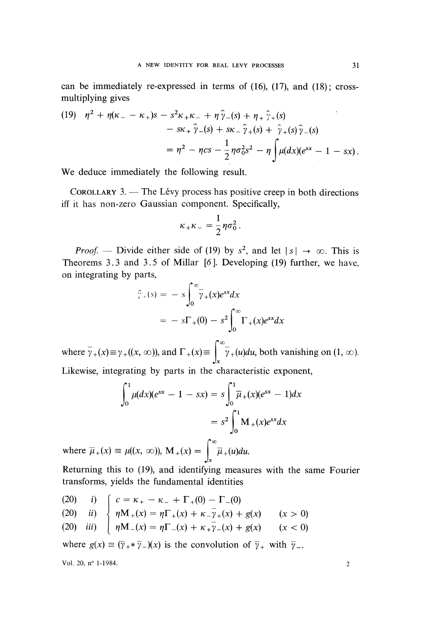can be immediately re-expressed in terms of  $(16)$ ,  $(17)$ , and  $(18)$ ; crossmultiplying gives

(19) 
$$
\eta^{2} + \eta(\kappa_{-} - \kappa_{+})s - s^{2}\kappa_{+}\kappa_{-} + \eta \,\hat{\gamma}_{-}(s) + \eta_{+} \,\hat{\gamma}_{+}(s) \n- s\kappa_{+} \,\hat{\gamma}_{-}(s) + s\kappa_{-} \,\hat{\gamma}_{+}(s) + \hat{\gamma}_{+}(s) \,\hat{\gamma}_{-}(s) \n= \eta^{2} - \eta c s - \frac{1}{2} \eta \sigma_{0}^{2} s^{2} - \eta \int \mu(dx)(e^{sx} - 1 - sx).
$$

We deduce immediately the following result.

COROLLARY  $3$ . - The Lévy process has positive creep in both directions iff it has non-zero Gaussian component. Specifically,

$$
\kappa_+\kappa_- = \frac{1}{2}\eta\sigma_0^2.
$$

*Proof.* — Divide either side of (19) by  $s^2$ , and let  $|s| \to \infty$ . This is Theorems 3.3 and 3.5 of Millar  $[6]$ . Developing (19) further, we have, on integrating by parts,

$$
\widehat{\gamma}_{+}(s) = -s \int_{0}^{\infty} \overline{\gamma}_{+}(x) e^{sx} dx
$$

$$
= -s \Gamma_{+}(0) - s^{2} \int_{0}^{\infty} \Gamma_{+}(x) e^{sx} dx
$$

where  $\overline{\gamma}_+(x) \equiv \gamma_+((x, \infty))$ , and  $\Gamma_+(x) \equiv \int_{-\infty}^{\infty} \gamma_+(u) du$ , both vanishing on  $(1, \infty)$ .

Likewise, integrating by parts in the characteristic exponent,

$$
\int_0^1 \mu(dx)(e^{sx} - 1 - sx) = s \int_0^1 \overline{\mu}_+(x)(e^{sx} - 1) dx
$$

$$
= s^2 \int_0^1 M_+(x)e^{sx} dx
$$

where  $\overline{\mu}_+(x) \equiv \mu((x, \infty)), M_+(x) = \int_x$ 

Returning this to (19), and identifying measures with the same Fourier transforms, yields the fundamental identities

(20) *i*)  $\begin{cases} c = \kappa_+ - \kappa_- + \Gamma_+(0) - \Gamma_-(0) \\ \eta M_+(x) = \eta \Gamma_+(x) + \kappa_-\bar{\gamma}_+(x) + g(x) \\ \eta M_-(x) = \eta \Gamma_-(x) + \kappa_+\bar{\gamma}_-(x) + g(x) \end{cases}$  (*x* > 0)

where  $g(x) \equiv (\overline{y}_+ \ast \overline{y}_-) (x)$  is the convolution of  $\overline{y}_+$  with  $\overline{y}_-$ .

Vol. 20, n° 1-1984. 2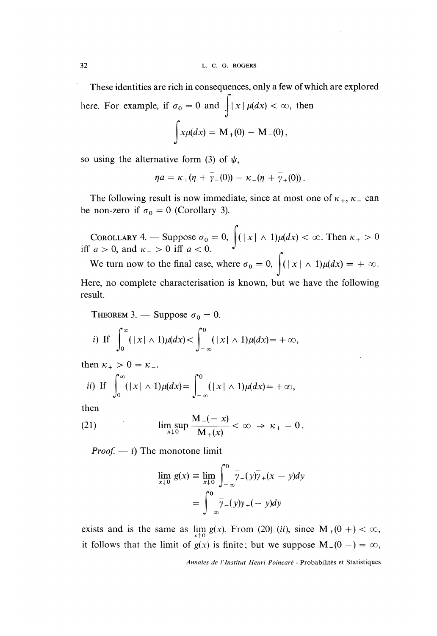These identities are rich in consequences, only a few of which are explored here. For example, if  $\sigma_0 = 0$  and  $\int |x| \mu(dx) < \infty$ , then  $\int x\mu(dx) = M_{+}(0) - M_{-}(0),$ 

so using the alternative form (3) of  $\psi$ ,

$$
\eta a = \kappa_{+}(\eta + \gamma_{-}(0)) - \kappa_{-}(\eta + \gamma_{+}(0)).
$$

The following result is now immediate, since at most one of  $\kappa_+$ ,  $\kappa_-$  can be non-zero if  $\sigma_0 = 0$  (Corollary 3).

COROLLARY 4. — Suppose  $\sigma_0 = 0$ ,  $\int ( |x| \wedge 1) \mu(dx) < \infty$ . Then  $\kappa_+ > 0$ <br>  $a > 0$ , and  $\kappa_- > 0$  iff  $a < 0$ .

We turn now to the final case, where  $\sigma_0 = 0$ ,  $\int ( |x| \wedge 1) \mu(dx) = + \infty$ .

Here, no complete characterisation is known, but we have the following result.

THEOREM 3. — Suppose 
$$
\sigma_0 = 0
$$
.  
\ni) If  $\int_0^{\infty} (|x| \wedge 1) \mu(dx) < \int_{-\infty}^0 (|x| \wedge 1) \mu(dx) = +\infty$ ,

then  $\kappa_{+} > 0 = \kappa_{-}$ .

$$
ii) \text{ If } \int_0^\infty (|x| \wedge 1) \mu(dx) = \int_{-\infty}^0 (|x| \wedge 1) \mu(dx) = +\infty,
$$

then

(21) 
$$
\limsup_{x \downarrow 0} \frac{M_-(-x)}{M_+(x)} < \infty \implies \kappa_+ = 0.
$$

*Proof.*  $- i$ ) The monotone limit

$$
\lim_{x \downarrow 0} g(x) \equiv \lim_{x \downarrow 0} \int_{-\infty}^{0} \overline{y} - (y)\overline{y} + (x - y)dy
$$

$$
= \int_{-\infty}^{0} \overline{y} - (y)\overline{y} + (-y)dy
$$

exists and is the same as  $\lim_{x \uparrow 0} g(x)$ . From (20) (ii), since  $M_+(0 +) < \infty$ , it follows that the limit of  $g(x)$  is finite; but we suppose  $M_-(0 -) = \infty$ ,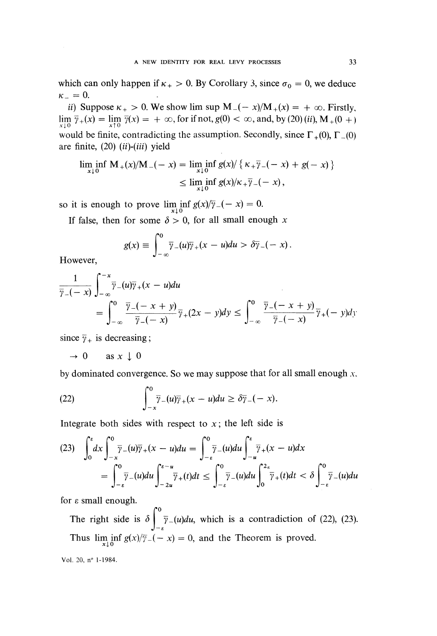which can only happen if  $\kappa_+ > 0$ . By Corollary 3, since  $\sigma_0 = 0$ , we deduce  $\kappa_- = 0$ . A NEW IDENTITY FOR REAL LEVY PROCESSES 33<br>which can only happen if  $\kappa_+ > 0$ . By Corollary 3, since  $\sigma_0 = 0$ , we deduce<br> $\kappa_- = 0$ .<br>ii) Suppose  $\kappa_+ > 0$ . We show lim sup  $M_-(-x)/M_+(x) = +\infty$ . Firstly,

 $\lim_{x \downarrow 0} \bar{\gamma}_+(x) = \lim_{x \uparrow 0} \bar{\gamma}(x) = +\infty$ , for if not,  $g(0) < \infty$ , and, by (20) (ii),  $M_+(0 +)$ would be finite, contradicting the assumption. Secondly, since  $\Gamma_+(0)$ ,  $\Gamma_-(0)$ are finite,  $(20)$   $(ii)-(iii)$  yield

$$
\liminf_{x \downarrow 0} M_{+}(x)/M_{-}(-x) = \liminf_{x \downarrow 0} g(x)/\{ \kappa_{+} \overline{\gamma}_{-}(-x) + g(-x) \}
$$
  
 
$$
\leq \liminf_{x \downarrow 0} g(x)/\kappa_{+} \overline{\gamma}_{-}(-x),
$$

so it is enough to prove  $\liminf_{x\downarrow 0} g(x)/\overline{\gamma}_-(-x) = 0.$ 

If false, then for some  $\delta > 0$ , for all small enough x

$$
g(x) \equiv \int_{-\infty}^{0} \overline{\gamma}_{-}(u)\overline{\gamma}_{+}(x-u)du > \delta \overline{\gamma}_{-}(-x).
$$

However,

$$
\frac{1}{\overline{\gamma}_{-}(-x)}\int_{-\infty}^{-x}\overline{\gamma}_{-}(u)\overline{\gamma}_{+}(x-u)du
$$
\n
$$
=\int_{-\infty}^{0}\frac{\overline{\gamma}_{-}(-x+y)}{\overline{\gamma}_{-}(-x)}\overline{\gamma}_{+}(2x-y)dy \le \int_{-\infty}^{0}\frac{\overline{\gamma}_{-}(-x+y)}{\overline{\gamma}_{-}(-x)}\overline{\gamma}_{+}(-y)dy.
$$

since  $\bar{\gamma}_+$  is decreasing;

$$
\rightarrow 0 \quad \text{as } x \downarrow 0
$$

by dominated convergence. So we may suppose that for all small enough  $x$ ,

(22) 
$$
\int_{-x}^{0} \overline{\gamma}_{-}(u)\overline{\gamma}_{+}(x-u)du \geq \delta \overline{\gamma}_{-}(-x).
$$

Integrate both sides with respect to  $x$ ; the left side is

$$
(23) \quad \int_0^{\epsilon} dx \int_{-\infty}^0 \overline{\gamma}_{-}(u)\overline{\gamma}_{+}(x-u)du = \int_{-\epsilon}^0 \overline{\gamma}_{-}(u)du \int_{-u}^{\epsilon} \overline{\gamma}_{+}(x-u)dx
$$

$$
= \int_{-\epsilon}^0 \overline{\gamma}_{-}(u)du \int_{-2u}^{\epsilon-u} \overline{\gamma}_{+}(t)dt \le \int_{-\epsilon}^0 \overline{\gamma}_{-}(u)du \int_0^{2\epsilon} \overline{\gamma}_{+}(t)dt < \delta \int_{-\epsilon}^0 \overline{\gamma}_{-}(u)du
$$

for  $\varepsilon$  small enough.

The right side is  $\delta \int_{-\varepsilon}^{0} \overline{\gamma}_{-}(u) du$ , which is a contradiction of (22), (23). Thus  $\liminf_{x \to 0} g(x)/\overline{\gamma}_-(-x) = 0$ , and the Theorem is proved.

Vol. 20, n~ 1-1984.